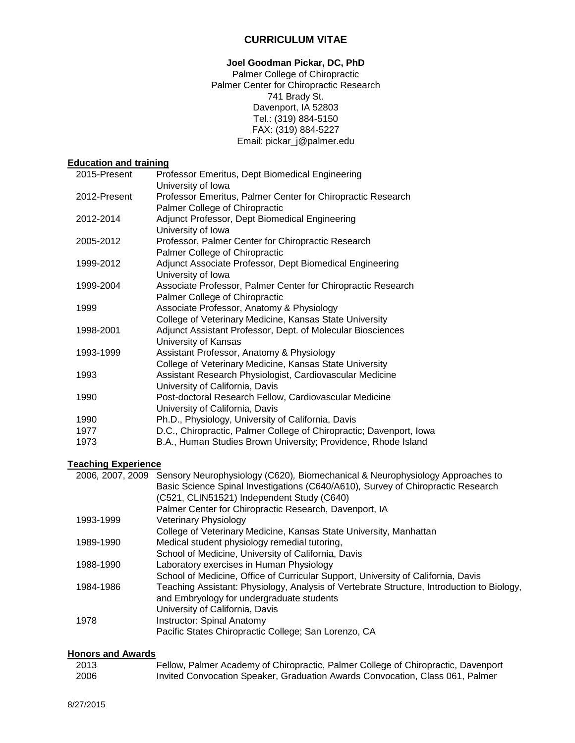# **CURRICULUM VITAE**

# **Joel Goodman Pickar, DC, PhD**

Palmer College of Chiropractic Palmer Center for Chiropractic Research 741 Brady St. Davenport, IA 52803 Tel.: (319) 884-5150 FAX: (319) 884-5227 Email: pickar\_j@palmer.edu

# **Education and training**

| 2015-Present | Professor Emeritus, Dept Biomedical Engineering<br>University of Iowa                          |
|--------------|------------------------------------------------------------------------------------------------|
| 2012-Present | Professor Emeritus, Palmer Center for Chiropractic Research                                    |
| 2012-2014    | Palmer College of Chiropractic<br>Adjunct Professor, Dept Biomedical Engineering               |
|              | University of Iowa                                                                             |
| 2005-2012    | Professor, Palmer Center for Chiropractic Research                                             |
|              | Palmer College of Chiropractic                                                                 |
| 1999-2012    | Adjunct Associate Professor, Dept Biomedical Engineering<br>University of Iowa                 |
| 1999-2004    | Associate Professor, Palmer Center for Chiropractic Research<br>Palmer College of Chiropractic |
| 1999         | Associate Professor, Anatomy & Physiology                                                      |
|              | College of Veterinary Medicine, Kansas State University                                        |
| 1998-2001    | Adjunct Assistant Professor, Dept. of Molecular Biosciences<br>University of Kansas            |
| 1993-1999    | Assistant Professor, Anatomy & Physiology                                                      |
|              | College of Veterinary Medicine, Kansas State University                                        |
| 1993         | Assistant Research Physiologist, Cardiovascular Medicine                                       |
|              | University of California, Davis                                                                |
| 1990         | Post-doctoral Research Fellow, Cardiovascular Medicine                                         |
|              | University of California, Davis                                                                |
| 1990         | Ph.D., Physiology, University of California, Davis                                             |
| 1977         | D.C., Chiropractic, Palmer College of Chiropractic; Davenport, Iowa                            |
| 1973         | B.A., Human Studies Brown University; Providence, Rhode Island                                 |

# **Teaching Experience**

|           | 2006, 2007, 2009 Sensory Neurophysiology (C620), Biomechanical & Neurophysiology Approaches to |
|-----------|------------------------------------------------------------------------------------------------|
|           | Basic Science Spinal Investigations (C640/A610), Survey of Chiropractic Research               |
|           | (C521, CLIN51521) Independent Study (C640)                                                     |
|           | Palmer Center for Chiropractic Research, Davenport, IA                                         |
| 1993-1999 | <b>Veterinary Physiology</b>                                                                   |
|           | College of Veterinary Medicine, Kansas State University, Manhattan                             |
| 1989-1990 | Medical student physiology remedial tutoring,                                                  |
|           | School of Medicine, University of California, Davis                                            |
| 1988-1990 | Laboratory exercises in Human Physiology                                                       |
|           | School of Medicine, Office of Curricular Support, University of California, Davis              |
| 1984-1986 | Teaching Assistant: Physiology, Analysis of Vertebrate Structure, Introduction to Biology,     |
|           | and Embryology for undergraduate students                                                      |
|           | University of California, Davis                                                                |
| 1978      | Instructor: Spinal Anatomy                                                                     |
|           | Pacific States Chiropractic College; San Lorenzo, CA                                           |

## **Honors and Awards**

| 2013 | Fellow, Palmer Academy of Chiropractic, Palmer College of Chiropractic, Davenport |
|------|-----------------------------------------------------------------------------------|
| 2006 | Invited Convocation Speaker, Graduation Awards Convocation, Class 061, Palmer     |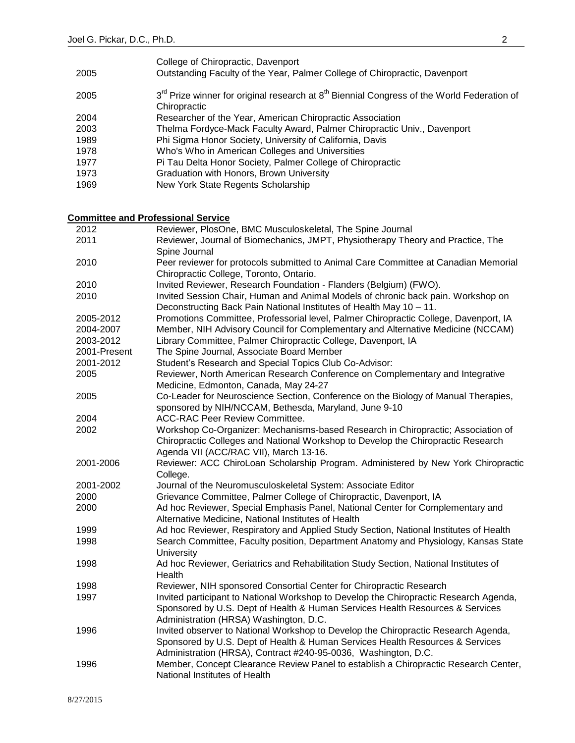|      | College of Chiropractic, Davenport                                                                                                 |
|------|------------------------------------------------------------------------------------------------------------------------------------|
| 2005 | Outstanding Faculty of the Year, Palmer College of Chiropractic, Davenport                                                         |
| 2005 | 3 <sup>rd</sup> Prize winner for original research at 8 <sup>th</sup> Biennial Congress of the World Federation of<br>Chiropractic |
| 2004 | Researcher of the Year, American Chiropractic Association                                                                          |
| 2003 | Thelma Fordyce-Mack Faculty Award, Palmer Chiropractic Univ., Davenport                                                            |
| 1989 | Phi Sigma Honor Society, University of California, Davis                                                                           |
| 1978 | Who's Who in American Colleges and Universities                                                                                    |
| 1977 | Pi Tau Delta Honor Society, Palmer College of Chiropractic                                                                         |
| 1973 | Graduation with Honors, Brown University                                                                                           |
|      |                                                                                                                                    |

1969 New York State Regents Scholarship

**Committee and Professional Service**

| 2012         | Reviewer, PlosOne, BMC Musculoskeletal, The Spine Journal                                                                                                              |
|--------------|------------------------------------------------------------------------------------------------------------------------------------------------------------------------|
| 2011         | Reviewer, Journal of Biomechanics, JMPT, Physiotherapy Theory and Practice, The                                                                                        |
|              | Spine Journal                                                                                                                                                          |
| 2010         | Peer reviewer for protocols submitted to Animal Care Committee at Canadian Memorial                                                                                    |
|              | Chiropractic College, Toronto, Ontario.                                                                                                                                |
| 2010         | Invited Reviewer, Research Foundation - Flanders (Belgium) (FWO).                                                                                                      |
| 2010         | Invited Session Chair, Human and Animal Models of chronic back pain. Workshop on                                                                                       |
|              | Deconstructing Back Pain National Institutes of Health May 10 - 11.                                                                                                    |
| 2005-2012    | Promotions Committee, Professorial level, Palmer Chiropractic College, Davenport, IA                                                                                   |
| 2004-2007    | Member, NIH Advisory Council for Complementary and Alternative Medicine (NCCAM)                                                                                        |
| 2003-2012    | Library Committee, Palmer Chiropractic College, Davenport, IA                                                                                                          |
| 2001-Present | The Spine Journal, Associate Board Member                                                                                                                              |
| 2001-2012    | Student's Research and Special Topics Club Co-Advisor:                                                                                                                 |
| 2005         | Reviewer, North American Research Conference on Complementary and Integrative                                                                                          |
|              | Medicine, Edmonton, Canada, May 24-27                                                                                                                                  |
| 2005         | Co-Leader for Neuroscience Section, Conference on the Biology of Manual Therapies,                                                                                     |
|              | sponsored by NIH/NCCAM, Bethesda, Maryland, June 9-10                                                                                                                  |
| 2004         | <b>ACC-RAC Peer Review Committee.</b>                                                                                                                                  |
| 2002         | Workshop Co-Organizer: Mechanisms-based Research in Chiropractic; Association of                                                                                       |
|              | Chiropractic Colleges and National Workshop to Develop the Chiropractic Research                                                                                       |
|              | Agenda VII (ACC/RAC VII), March 13-16.                                                                                                                                 |
| 2001-2006    | Reviewer: ACC ChiroLoan Scholarship Program. Administered by New York Chiropractic                                                                                     |
|              | College.                                                                                                                                                               |
| 2001-2002    | Journal of the Neuromusculoskeletal System: Associate Editor                                                                                                           |
| 2000         | Grievance Committee, Palmer College of Chiropractic, Davenport, IA                                                                                                     |
| 2000         | Ad hoc Reviewer, Special Emphasis Panel, National Center for Complementary and                                                                                         |
|              | Alternative Medicine, National Institutes of Health                                                                                                                    |
| 1999         | Ad hoc Reviewer, Respiratory and Applied Study Section, National Institutes of Health                                                                                  |
| 1998         | Search Committee, Faculty position, Department Anatomy and Physiology, Kansas State                                                                                    |
|              | University                                                                                                                                                             |
| 1998         | Ad hoc Reviewer, Geriatrics and Rehabilitation Study Section, National Institutes of                                                                                   |
|              | Health                                                                                                                                                                 |
| 1998         | Reviewer, NIH sponsored Consortial Center for Chiropractic Research                                                                                                    |
| 1997         | Invited participant to National Workshop to Develop the Chiropractic Research Agenda,<br>Sponsored by U.S. Dept of Health & Human Services Health Resources & Services |
|              | Administration (HRSA) Washington, D.C.                                                                                                                                 |
| 1996         | Invited observer to National Workshop to Develop the Chiropractic Research Agenda,                                                                                     |
|              | Sponsored by U.S. Dept of Health & Human Services Health Resources & Services                                                                                          |
|              | Administration (HRSA), Contract #240-95-0036, Washington, D.C.                                                                                                         |
| 1996         | Member, Concept Clearance Review Panel to establish a Chiropractic Research Center,                                                                                    |
|              | National Institutes of Health                                                                                                                                          |
|              |                                                                                                                                                                        |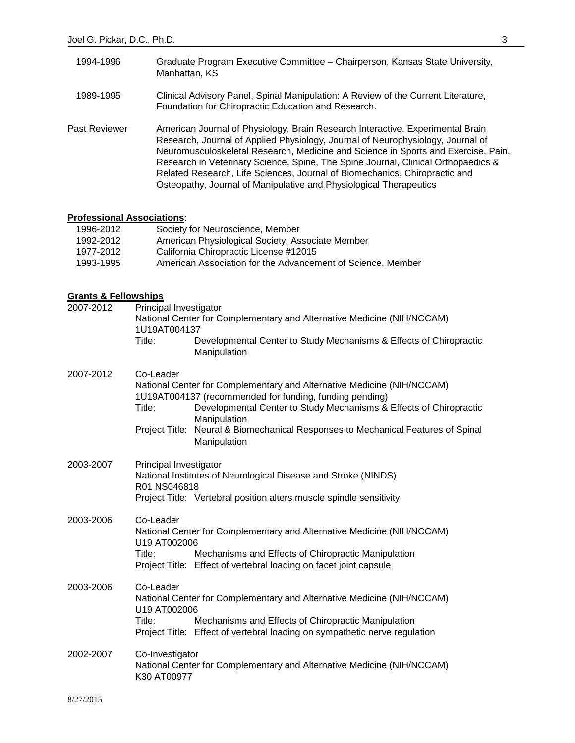| 1994-1996     | Graduate Program Executive Committee - Chairperson, Kansas State University,<br>Manhattan, KS                                                                                                                                                                                                                                                                                                                                                                                                   |
|---------------|-------------------------------------------------------------------------------------------------------------------------------------------------------------------------------------------------------------------------------------------------------------------------------------------------------------------------------------------------------------------------------------------------------------------------------------------------------------------------------------------------|
| 1989-1995     | Clinical Advisory Panel, Spinal Manipulation: A Review of the Current Literature,<br>Foundation for Chiropractic Education and Research.                                                                                                                                                                                                                                                                                                                                                        |
| Past Reviewer | American Journal of Physiology, Brain Research Interactive, Experimental Brain<br>Research, Journal of Applied Physiology, Journal of Neurophysiology, Journal of<br>Neuromusculoskeletal Research, Medicine and Science in Sports and Exercise, Pain,<br>Research in Veterinary Science, Spine, The Spine Journal, Clinical Orthopaedics &<br>Related Research, Life Sciences, Journal of Biomechanics, Chiropractic and<br>Osteopathy, Journal of Manipulative and Physiological Therapeutics |

#### **Professional Associations**:

| 1996-2012 | Society for Neuroscience, Member                            |
|-----------|-------------------------------------------------------------|
| 1992-2012 | American Physiological Society, Associate Member            |
| 1977-2012 | California Chiropractic License #12015                      |
| 1993-1995 | American Association for the Advancement of Science. Member |
|           |                                                             |

#### **Grants & Fellowships**

| 2007-2012 | Principal Investigator<br>National Center for Complementary and Alternative Medicine (NIH/NCCAM)<br>1U19AT004137 |                                                                                                                                                                                                                                                                                                                             |  |
|-----------|------------------------------------------------------------------------------------------------------------------|-----------------------------------------------------------------------------------------------------------------------------------------------------------------------------------------------------------------------------------------------------------------------------------------------------------------------------|--|
|           | Title:                                                                                                           | Developmental Center to Study Mechanisms & Effects of Chiropractic<br>Manipulation                                                                                                                                                                                                                                          |  |
| 2007-2012 | Co-Leader<br>Title:                                                                                              | National Center for Complementary and Alternative Medicine (NIH/NCCAM)<br>1U19AT004137 (recommended for funding, funding pending)<br>Developmental Center to Study Mechanisms & Effects of Chiropractic<br>Manipulation<br>Project Title: Neural & Biomechanical Responses to Mechanical Features of Spinal<br>Manipulation |  |
| 2003-2007 | Principal Investigator<br>R01 NS046818                                                                           | National Institutes of Neurological Disease and Stroke (NINDS)<br>Project Title: Vertebral position alters muscle spindle sensitivity                                                                                                                                                                                       |  |
| 2003-2006 | Co-Leader<br>U19 AT002006<br>Title:                                                                              | National Center for Complementary and Alternative Medicine (NIH/NCCAM)<br>Mechanisms and Effects of Chiropractic Manipulation<br>Project Title: Effect of vertebral loading on facet joint capsule                                                                                                                          |  |
| 2003-2006 | Co-Leader<br>U19 AT002006<br>Title:                                                                              | National Center for Complementary and Alternative Medicine (NIH/NCCAM)<br>Mechanisms and Effects of Chiropractic Manipulation<br>Project Title: Effect of vertebral loading on sympathetic nerve regulation                                                                                                                 |  |
| 2002-2007 | Co-Investigator<br>K30 AT00977                                                                                   | National Center for Complementary and Alternative Medicine (NIH/NCCAM)                                                                                                                                                                                                                                                      |  |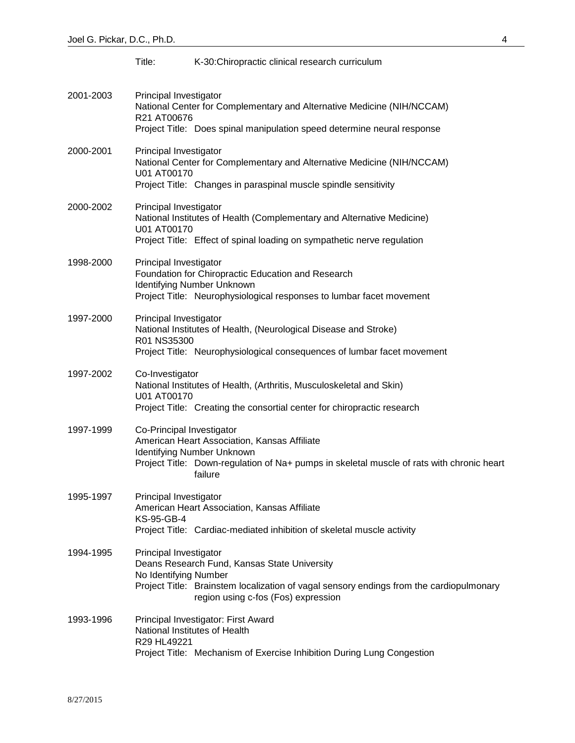|           | Title:                                          | K-30: Chiropractic clinical research curriculum                                                                                                                                    |
|-----------|-------------------------------------------------|------------------------------------------------------------------------------------------------------------------------------------------------------------------------------------|
| 2001-2003 | Principal Investigator<br>R21 AT00676           | National Center for Complementary and Alternative Medicine (NIH/NCCAM)<br>Project Title: Does spinal manipulation speed determine neural response                                  |
| 2000-2001 | Principal Investigator<br>U01 AT00170           | National Center for Complementary and Alternative Medicine (NIH/NCCAM)<br>Project Title: Changes in paraspinal muscle spindle sensitivity                                          |
| 2000-2002 | Principal Investigator<br>U01 AT00170           | National Institutes of Health (Complementary and Alternative Medicine)<br>Project Title: Effect of spinal loading on sympathetic nerve regulation                                  |
| 1998-2000 | Principal Investigator                          | Foundation for Chiropractic Education and Research<br>Identifying Number Unknown<br>Project Title: Neurophysiological responses to lumbar facet movement                           |
| 1997-2000 | Principal Investigator<br>R01 NS35300           | National Institutes of Health, (Neurological Disease and Stroke)<br>Project Title: Neurophysiological consequences of lumbar facet movement                                        |
| 1997-2002 | Co-Investigator<br>U01 AT00170                  | National Institutes of Health, (Arthritis, Musculoskeletal and Skin)<br>Project Title: Creating the consortial center for chiropractic research                                    |
| 1997-1999 | Co-Principal Investigator                       | American Heart Association, Kansas Affiliate<br>Identifying Number Unknown<br>Project Title: Down-regulation of Na+ pumps in skeletal muscle of rats with chronic heart<br>failure |
| 1995-1997 | Principal Investigator<br>KS-95-GB-4            | American Heart Association, Kansas Affiliate<br>Project Title: Cardiac-mediated inhibition of skeletal muscle activity                                                             |
| 1994-1995 | Principal Investigator<br>No Identifying Number | Deans Research Fund, Kansas State University<br>Project Title: Brainstem localization of vagal sensory endings from the cardiopulmonary<br>region using c-fos (Fos) expression     |
| 1993-1996 | R29 HL49221                                     | Principal Investigator: First Award<br>National Institutes of Health<br>Project Title: Mechanism of Exercise Inhibition During Lung Congestion                                     |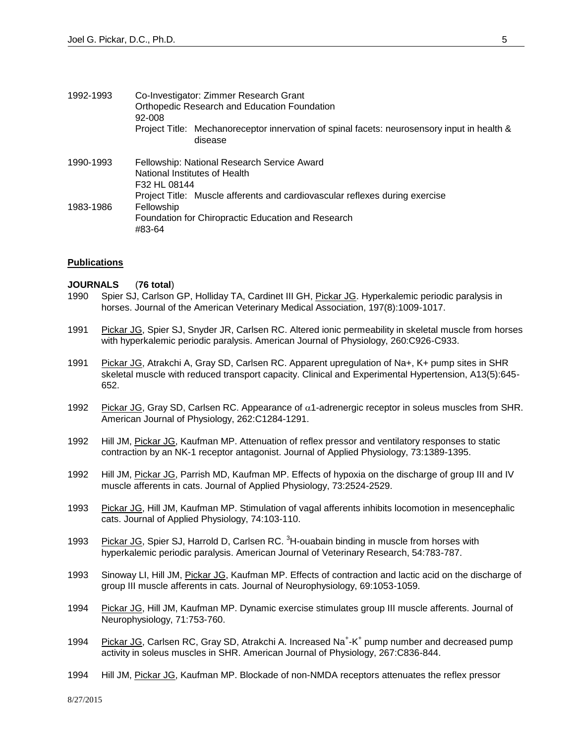| 1992-1993 | Co-Investigator: Zimmer Research Grant<br>Orthopedic Research and Education Foundation<br>92-008                                                          |  |  |
|-----------|-----------------------------------------------------------------------------------------------------------------------------------------------------------|--|--|
|           | Project Title: Mechanoreceptor innervation of spinal facets: neurosensory input in health &<br>disease                                                    |  |  |
| 1990-1993 | Fellowship: National Research Service Award<br>National Institutes of Health<br>F32 HL 08144                                                              |  |  |
| 1983-1986 | Project Title: Muscle afferents and cardiovascular reflexes during exercise<br>Fellowship<br>Foundation for Chiropractic Education and Research<br>#83-64 |  |  |

#### **Publications**

## **JOURNALS** (**76 total**)

- 1990 Spier SJ, Carlson GP, Holliday TA, Cardinet III GH, Pickar JG. Hyperkalemic periodic paralysis in horses. Journal of the American Veterinary Medical Association, 197(8):1009-1017.
- 1991 Pickar JG, Spier SJ, Snyder JR, Carlsen RC. Altered ionic permeability in skeletal muscle from horses with hyperkalemic periodic paralysis. American Journal of Physiology, 260:C926-C933.
- 1991 Pickar JG, Atrakchi A, Gray SD, Carlsen RC. Apparent upregulation of Na+, K+ pump sites in SHR skeletal muscle with reduced transport capacity. Clinical and Experimental Hypertension, A13(5):645- 652.
- 1992 Pickar JG, Gray SD, Carlsen RC. Appearance of  $\alpha$ 1-adrenergic receptor in soleus muscles from SHR. American Journal of Physiology, 262:C1284-1291.
- 1992 Hill JM, Pickar JG, Kaufman MP. Attenuation of reflex pressor and ventilatory responses to static contraction by an NK-1 receptor antagonist. Journal of Applied Physiology, 73:1389-1395.
- 1992 Hill JM, Pickar JG, Parrish MD, Kaufman MP. Effects of hypoxia on the discharge of group III and IV muscle afferents in cats. Journal of Applied Physiology, 73:2524-2529.
- 1993 Pickar JG, Hill JM, Kaufman MP. Stimulation of vagal afferents inhibits locomotion in mesencephalic cats. Journal of Applied Physiology, 74:103-110.
- 1993 Pickar JG, Spier SJ, Harrold D, Carlsen RC. <sup>3</sup>H-ouabain binding in muscle from horses with hyperkalemic periodic paralysis. American Journal of Veterinary Research, 54:783-787.
- 1993 Sinoway LI, Hill JM, Pickar JG, Kaufman MP. Effects of contraction and lactic acid on the discharge of group III muscle afferents in cats. Journal of Neurophysiology, 69:1053-1059.
- 1994 Pickar JG, Hill JM, Kaufman MP. Dynamic exercise stimulates group III muscle afferents. Journal of Neurophysiology, 71:753-760.
- 1994 Pickar JG, Carlsen RC, Gray SD, Atrakchi A. Increased Na<sup>+</sup>-K<sup>+</sup> pump number and decreased pump activity in soleus muscles in SHR. American Journal of Physiology, 267:C836-844.
- 1994 Hill JM, Pickar JG, Kaufman MP. Blockade of non-NMDA receptors attenuates the reflex pressor

8/27/2015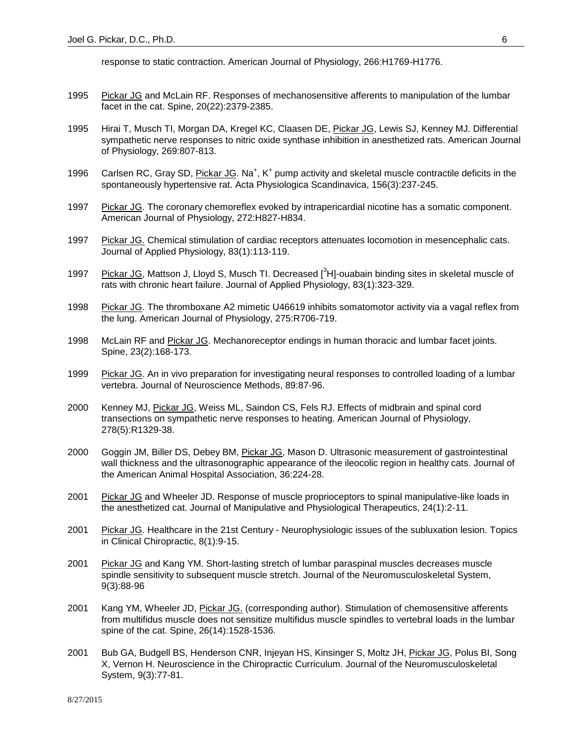response to static contraction. American Journal of Physiology, 266:H1769-H1776.

- 1995 Pickar JG and McLain RF. Responses of mechanosensitive afferents to manipulation of the lumbar facet in the cat. Spine, 20(22):2379-2385.
- 1995 Hirai T, Musch TI, Morgan DA, Kregel KC, Claasen DE, Pickar JG, Lewis SJ, Kenney MJ. Differential sympathetic nerve responses to nitric oxide synthase inhibition in anesthetized rats. American Journal of Physiology, 269:807-813.
- 1996 Carlsen RC, Gray SD, Pickar JG. Na<sup>+</sup>, K<sup>+</sup> pump activity and skeletal muscle contractile deficits in the spontaneously hypertensive rat. Acta Physiologica Scandinavica, 156(3):237-245.
- 1997 Pickar JG. The coronary chemoreflex evoked by intrapericardial nicotine has a somatic component. American Journal of Physiology, 272:H827-H834.
- 1997 Pickar JG. Chemical stimulation of cardiac receptors attenuates locomotion in mesencephalic cats. Journal of Applied Physiology, 83(1):113-119.
- 1997 Pickar JG, Mattson J, Lloyd S, Musch TI. Decreased [<sup>3</sup>H]-ouabain binding sites in skeletal muscle of rats with chronic heart failure. Journal of Applied Physiology, 83(1):323-329.
- 1998 Pickar JG. The thromboxane A2 mimetic U46619 inhibits somatomotor activity via a vagal reflex from the lung. American Journal of Physiology, 275:R706-719.
- 1998 McLain RF and Pickar JG. Mechanoreceptor endings in human thoracic and lumbar facet joints. Spine, 23(2):168-173.
- 1999 Pickar JG. An in vivo preparation for investigating neural responses to controlled loading of a lumbar vertebra. Journal of Neuroscience Methods, 89:87-96.
- 2000 Kenney MJ, Pickar JG, Weiss ML, Saindon CS, Fels RJ. Effects of midbrain and spinal cord transections on sympathetic nerve responses to heating. American Journal of Physiology, 278(5):R1329-38.
- 2000 Goggin JM, Biller DS, Debey BM, Pickar JG, Mason D. Ultrasonic measurement of gastrointestinal wall thickness and the ultrasonographic appearance of the ileocolic region in healthy cats. Journal of the American Animal Hospital Association, 36:224-28.
- 2001 Pickar JG and Wheeler JD. Response of muscle proprioceptors to spinal manipulative-like loads in the anesthetized cat. Journal of Manipulative and Physiological Therapeutics, 24(1):2-11.
- 2001 Pickar JG. Healthcare in the 21st Century Neurophysiologic issues of the subluxation lesion. Topics in Clinical Chiropractic, 8(1):9-15.
- 2001 Pickar JG and Kang YM. Short-lasting stretch of lumbar paraspinal muscles decreases muscle spindle sensitivity to subsequent muscle stretch. Journal of the Neuromusculoskeletal System, 9(3):88-96
- 2001 Kang YM, Wheeler JD, Pickar JG. (corresponding author). Stimulation of chemosensitive afferents from multifidus muscle does not sensitize multifidus muscle spindles to vertebral loads in the lumbar spine of the cat. Spine, 26(14):1528-1536.
- 2001 Bub GA, Budgell BS, Henderson CNR, Injeyan HS, Kinsinger S, Moltz JH, Pickar JG, Polus BI, Song X, Vernon H. Neuroscience in the Chiropractic Curriculum. Journal of the Neuromusculoskeletal System, 9(3):77-81.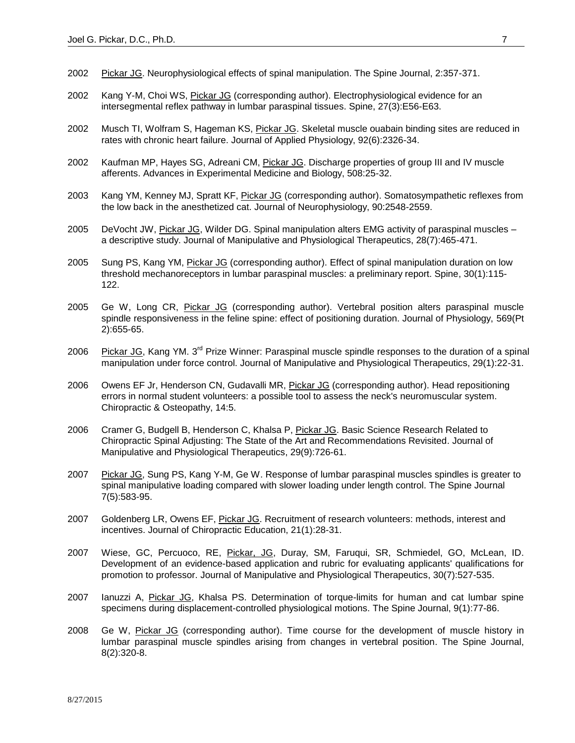- 2002 Pickar JG. Neurophysiological effects of spinal manipulation. The Spine Journal, 2:357-371.
- 2002 Kang Y-M, Choi WS, Pickar JG (corresponding author). Electrophysiological evidence for an intersegmental reflex pathway in lumbar paraspinal tissues. Spine, 27(3):E56-E63.
- 2002 Musch TI, Wolfram S, Hageman KS, Pickar JG. Skeletal muscle ouabain binding sites are reduced in rates with chronic heart failure. Journal of Applied Physiology, 92(6):2326-34.
- 2002 Kaufman MP, Hayes SG, Adreani CM, Pickar JG. Discharge properties of group III and IV muscle afferents. Advances in Experimental Medicine and Biology, 508:25-32.
- 2003 Kang YM, Kenney MJ, Spratt KF, Pickar JG (corresponding author). Somatosympathetic reflexes from the low back in the anesthetized cat. Journal of Neurophysiology, 90:2548-2559.
- 2005 DeVocht JW, Pickar JG, Wilder DG. Spinal manipulation alters EMG activity of paraspinal muscles a descriptive study. Journal of Manipulative and Physiological Therapeutics, 28(7):465-471.
- 2005 Sung PS, Kang YM, Pickar JG (corresponding author). Effect of spinal manipulation duration on low threshold mechanoreceptors in lumbar paraspinal muscles: a preliminary report. Spine, 30(1):115- 122.
- 2005 Ge W, Long CR, Pickar JG (corresponding author). Vertebral position alters paraspinal muscle spindle responsiveness in the feline spine: effect of positioning duration. Journal of Physiology, 569(Pt 2):655-65.
- 2006 Pickar JG, Kang YM. 3<sup>rd</sup> Prize Winner: Paraspinal muscle spindle responses to the duration of a spinal manipulation under force control. Journal of Manipulative and Physiological Therapeutics, 29(1):22-31.
- 2006 Owens EF Jr, Henderson CN, Gudavalli MR, Pickar JG (corresponding author). Head repositioning errors in normal student volunteers: a possible tool to assess the neck's neuromuscular system. Chiropractic & Osteopathy, 14:5.
- 2006 Cramer G, Budgell B, Henderson C, Khalsa P, Pickar JG. Basic Science Research Related to Chiropractic Spinal Adjusting: The State of the Art and Recommendations Revisited. Journal of Manipulative and Physiological Therapeutics, 29(9):726-61.
- 2007 Pickar JG, Sung PS, Kang Y-M, Ge W. Response of lumbar paraspinal muscles spindles is greater to spinal manipulative loading compared with slower loading under length control. The Spine Journal 7(5):583-95.
- 2007 Goldenberg LR, Owens EF, Pickar JG. Recruitment of research volunteers: methods, interest and incentives. Journal of Chiropractic Education, 21(1):28-31.
- 2007 Wiese, GC, Percuoco, RE, Pickar, JG, Duray, SM, Faruqui, SR, Schmiedel, GO, McLean, ID. Development of an evidence-based application and rubric for evaluating applicants' qualifications for promotion to professor. Journal of Manipulative and Physiological Therapeutics, 30(7):527-535.
- 2007 Ianuzzi A, Pickar JG, Khalsa PS. Determination of torque-limits for human and cat lumbar spine specimens during displacement-controlled physiological motions. The Spine Journal, 9(1):77-86.
- 2008 Ge W, Pickar JG (corresponding author). Time course for the development of muscle history in lumbar paraspinal muscle spindles arising from changes in vertebral position. The Spine Journal, 8(2):320-8.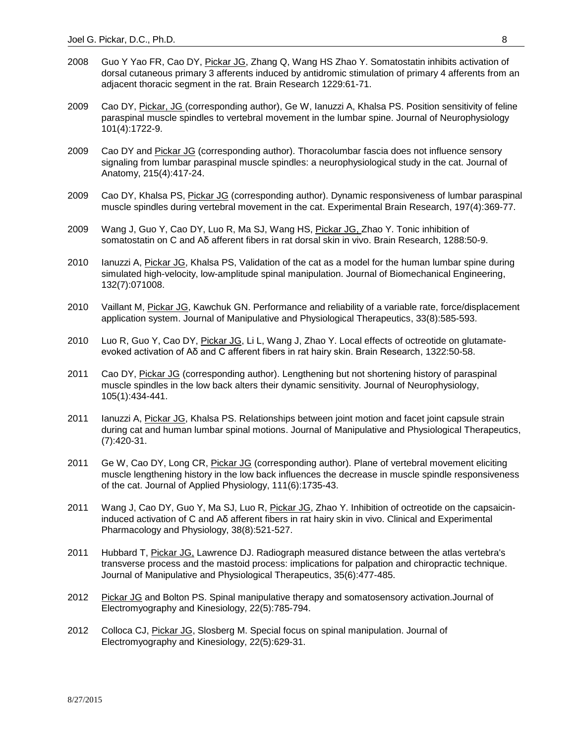- 2008 Guo Y Yao FR, Cao DY, Pickar JG, Zhang Q, Wang HS Zhao Y. Somatostatin inhibits activation of dorsal cutaneous primary 3 afferents induced by antidromic stimulation of primary 4 afferents from an adjacent thoracic segment in the rat. Brain Research 1229:61-71.
- 2009 Cao DY, Pickar, JG (corresponding author), Ge W, Ianuzzi A, Khalsa PS. Position sensitivity of feline paraspinal muscle spindles to vertebral movement in the lumbar spine. Journal of Neurophysiology 101(4):1722-9.
- 2009 Cao DY and Pickar JG (corresponding author). Thoracolumbar fascia does not influence sensory signaling from lumbar paraspinal muscle spindles: a neurophysiological study in the cat. Journal of Anatomy, 215(4):417-24.
- 2009 Cao DY, Khalsa PS, Pickar JG (corresponding author). Dynamic responsiveness of lumbar paraspinal muscle spindles during vertebral movement in the cat. Experimental Brain Research, 197(4):369-77.
- 2009 Wang J, Guo Y, Cao DY, Luo R, Ma SJ, Wang HS, Pickar JG, Zhao Y. Tonic inhibition of somatostatin on C and Aδ afferent fibers in rat dorsal skin in vivo. Brain Research, 1288:50-9.
- 2010 Ianuzzi A, Pickar JG, Khalsa PS, Validation of the cat as a model for the human lumbar spine during simulated high-velocity, low-amplitude spinal manipulation. Journal of Biomechanical Engineering, 132(7):071008.
- 2010 Vaillant M, Pickar JG, Kawchuk GN. Performance and reliability of a variable rate, force/displacement application system. Journal of Manipulative and Physiological Therapeutics, 33(8):585-593.
- 2010 Luo R, Guo Y, Cao DY, Pickar JG, Li L, Wang J, Zhao Y. Local effects of octreotide on glutamateevoked activation of Aδ and C afferent fibers in rat hairy skin. Brain Research, 1322:50-58.
- 2011 Cao DY, Pickar JG (corresponding author). Lengthening but not shortening history of paraspinal muscle spindles in the low back alters their dynamic sensitivity. Journal of Neurophysiology, 105(1):434-441.
- 2011 Ianuzzi A, Pickar JG, Khalsa PS. Relationships between joint motion and facet joint capsule strain during cat and human lumbar spinal motions. Journal of Manipulative and Physiological Therapeutics, (7):420-31.
- 2011 Ge W, Cao DY, Long CR, Pickar JG (corresponding author). Plane of vertebral movement eliciting muscle lengthening history in the low back influences the decrease in muscle spindle responsiveness of the cat. Journal of Applied Physiology, 111(6):1735-43.
- 2011 Wang J, Cao DY, Guo Y, Ma SJ, Luo R, Pickar JG, Zhao Y. Inhibition of octreotide on the capsaicininduced activation of C and Aδ afferent fibers in rat hairy skin in vivo. Clinical and Experimental Pharmacology and Physiology, 38(8):521-527.
- 2011 Hubbard T, Pickar JG, Lawrence DJ. Radiograph measured distance between the atlas vertebra's transverse process and the mastoid process: implications for palpation and chiropractic technique. Journal of Manipulative and Physiological Therapeutics, 35(6):477-485.
- 2012 Pickar JG and Bolton PS. Spinal manipulative therapy and somatosensory activation.Journal of Electromyography and Kinesiology, 22(5):785-794.
- 2012 Colloca CJ, Pickar JG, Slosberg M. Special focus on spinal manipulation. Journal of Electromyography and Kinesiology, 22(5):629-31.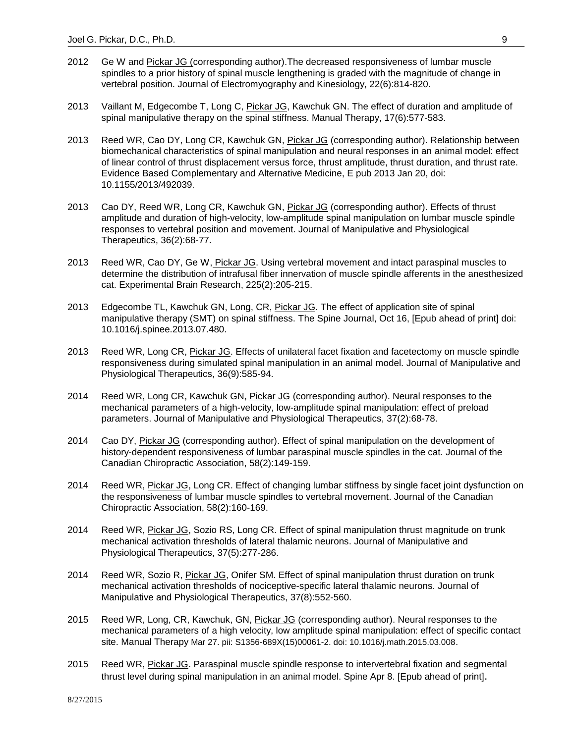- 2012 Ge W and Pickar JG (corresponding author). The decreased responsiveness of lumbar muscle spindles to a prior history of spinal muscle lengthening is graded with the magnitude of change in vertebral position. Journal of Electromyography and Kinesiology, 22(6):814-820.
- 2013 Vaillant M, Edgecombe T, Long C, Pickar JG, Kawchuk GN. The effect of duration and amplitude of spinal manipulative therapy on the spinal stiffness. Manual Therapy, 17(6):577-583.
- 2013 Reed WR, Cao DY, Long CR, Kawchuk GN, Pickar JG (corresponding author). Relationship between biomechanical characteristics of spinal manipulation and neural responses in an animal model: effect of linear control of thrust displacement versus force, thrust amplitude, thrust duration, and thrust rate. Evidence Based Complementary and Alternative Medicine, E pub 2013 Jan 20, doi: 10.1155/2013/492039.
- 2013 Cao DY, Reed WR, Long CR, Kawchuk GN, Pickar JG (corresponding author). Effects of thrust amplitude and duration of high-velocity, low-amplitude spinal manipulation on lumbar muscle spindle responses to vertebral position and movement. Journal of Manipulative and Physiological Therapeutics, 36(2):68-77.
- 2013 Reed WR, Cao DY, Ge W, *Pickar JG*. Using vertebral movement and intact paraspinal muscles to determine the distribution of intrafusal fiber innervation of muscle spindle afferents in the anesthesized cat. Experimental Brain Research, 225(2):205-215.
- 2013 Edgecombe TL, Kawchuk GN, Long, CR, Pickar JG. The effect of application site of spinal manipulative therapy (SMT) on spinal stiffness. The Spine Journal, Oct 16, [Epub ahead of print] doi: 10.1016/j.spinee.2013.07.480.
- 2013 Reed WR, Long CR, Pickar JG. Effects of unilateral facet fixation and facetectomy on muscle spindle responsiveness during simulated spinal manipulation in an animal model. Journal of Manipulative and Physiological Therapeutics, 36(9):585-94.
- 2014 Reed WR, Long CR, Kawchuk GN, Pickar JG (corresponding author). Neural responses to the mechanical parameters of a high-velocity, low-amplitude spinal manipulation: effect of preload parameters. Journal of Manipulative and Physiological Therapeutics, 37(2):68-78.
- 2014 Cao DY, Pickar JG (corresponding author). Effect of spinal manipulation on the development of history-dependent responsiveness of lumbar paraspinal muscle spindles in the cat. Journal of the Canadian Chiropractic Association, 58(2):149-159.
- 2014 Reed WR, Pickar JG, Long CR. Effect of changing lumbar stiffness by single facet joint dysfunction on the responsiveness of lumbar muscle spindles to vertebral movement. Journal of the Canadian Chiropractic Association, 58(2):160-169.
- 2014 Reed WR, Pickar JG, Sozio RS, Long CR. Effect of spinal manipulation thrust magnitude on trunk mechanical activation thresholds of lateral thalamic neurons. Journal of Manipulative and Physiological Therapeutics, 37(5):277-286.
- 2014 Reed WR, Sozio R, Pickar JG, Onifer SM. Effect of spinal manipulation thrust duration on trunk mechanical activation thresholds of nociceptive-specific lateral thalamic neurons. Journal of Manipulative and Physiological Therapeutics, 37(8):552-560.
- 2015 Reed WR, Long, CR, Kawchuk, GN, Pickar JG (corresponding author). Neural responses to the mechanical parameters of a high velocity, low amplitude spinal manipulation: effect of specific contact site. Manual Therapy Mar 27. pii: S1356-689X(15)00061-2. doi: 10.1016/j.math.2015.03.008.
- 2015 Reed WR, Pickar JG. Paraspinal muscle spindle response to intervertebral fixation and segmental thrust level during spinal manipulation in an animal model. Spine Apr 8. [Epub ahead of print].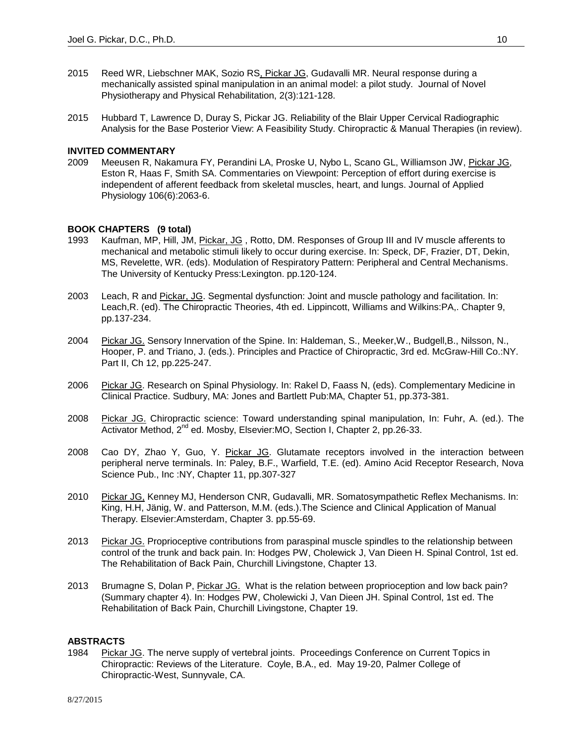- 2015 Reed WR, Liebschner MAK, Sozio RS, Pickar JG, Gudavalli MR. Neural response during a mechanically assisted spinal manipulation in an animal model: a pilot study. Journal of Novel Physiotherapy and Physical Rehabilitation, 2(3):121-128.
- 2015 Hubbard T, Lawrence D, Duray S, Pickar JG. Reliability of the Blair Upper Cervical Radiographic Analysis for the Base Posterior View: A Feasibility Study. Chiropractic & Manual Therapies (in review).

## **INVITED COMMENTARY**

2009 Meeusen R, Nakamura FY, Perandini LA, Proske U, Nybo L, Scano GL, Williamson JW, Pickar JG, Eston R, Haas F, Smith SA. Commentaries on Viewpoint: Perception of effort during exercise is independent of afferent feedback from skeletal muscles, heart, and lungs. Journal of Applied Physiology 106(6):2063-6.

#### **BOOK CHAPTERS (9 total)**

- 1993 Kaufman, MP, Hill, JM, Pickar, JG , Rotto, DM. Responses of Group III and IV muscle afferents to mechanical and metabolic stimuli likely to occur during exercise. In: Speck, DF, Frazier, DT, Dekin, MS, Revelette, WR. (eds). Modulation of Respiratory Pattern: Peripheral and Central Mechanisms. The University of Kentucky Press:Lexington. pp.120-124.
- 2003 Leach, R and Pickar, JG. Segmental dysfunction: Joint and muscle pathology and facilitation. In: Leach,R. (ed). The Chiropractic Theories, 4th ed. Lippincott, Williams and Wilkins:PA,. Chapter 9, pp.137-234.
- 2004 Pickar JG. Sensory Innervation of the Spine. In: Haldeman, S., Meeker,W., Budgell,B., Nilsson, N., Hooper, P. and Triano, J. (eds.). Principles and Practice of Chiropractic, 3rd ed. McGraw-Hill Co.:NY. Part II, Ch 12, pp.225-247.
- 2006 Pickar JG. Research on Spinal Physiology. In: Rakel D, Faass N, (eds). Complementary Medicine in Clinical Practice. Sudbury, MA: Jones and Bartlett Pub:MA, Chapter 51, pp.373-381.
- 2008 Pickar JG. Chiropractic science: Toward understanding spinal manipulation, In: Fuhr, A. (ed.). The Activator Method, 2<sup>nd</sup> ed. Mosby, Elsevier:MO, Section I, Chapter 2, pp.26-33.
- 2008 Cao DY, Zhao Y, Guo, Y. Pickar JG. Glutamate receptors involved in the interaction between peripheral nerve terminals. In: Paley, B.F., Warfield, T.E. (ed). Amino Acid Receptor Research, Nova Science Pub., Inc :NY, Chapter 11, pp.307-327
- 2010 Pickar JG, Kenney MJ, Henderson CNR, Gudavalli, MR. Somatosympathetic Reflex Mechanisms. In: King, H.H, Jänig, W. and Patterson, M.M. (eds.).The Science and Clinical Application of Manual Therapy. Elsevier:Amsterdam, Chapter 3. pp.55-69.
- 2013 Pickar JG. Proprioceptive contributions from paraspinal muscle spindles to the relationship between control of the trunk and back pain. In: Hodges PW, Cholewick J, Van Dieen H. Spinal Control, 1st ed. The Rehabilitation of Back Pain, Churchill Livingstone, Chapter 13.
- 2013 Brumagne S, Dolan P, Pickar JG. What is the relation between proprioception and low back pain? (Summary chapter 4). In: Hodges PW, Cholewicki J, Van Dieen JH. Spinal Control, 1st ed. The Rehabilitation of Back Pain, Churchill Livingstone, Chapter 19.

## **ABSTRACTS**

1984 Pickar JG. The nerve supply of vertebral joints. Proceedings Conference on Current Topics in Chiropractic: Reviews of the Literature. Coyle, B.A., ed. May 19-20, Palmer College of Chiropractic-West, Sunnyvale, CA.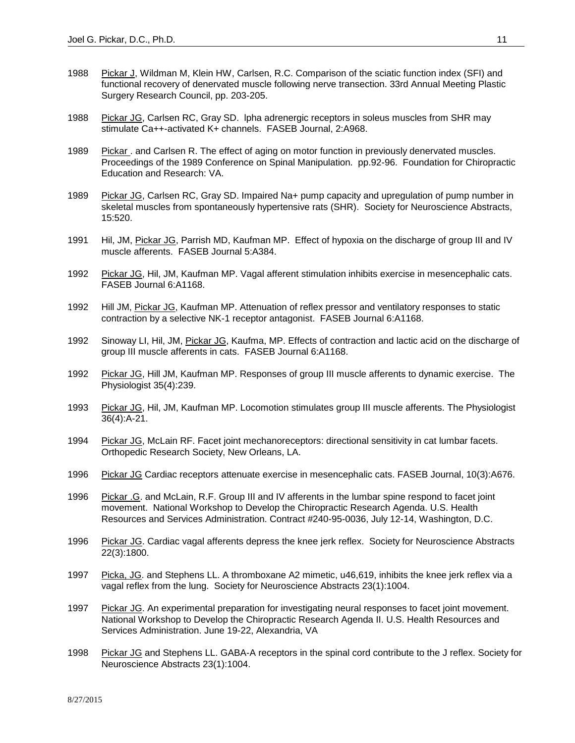- 1988 Pickar J, Wildman M, Klein HW, Carlsen, R.C. Comparison of the sciatic function index (SFI) and functional recovery of denervated muscle following nerve transection. 33rd Annual Meeting Plastic Surgery Research Council, pp. 203-205.
- 1988 Pickar JG, Carlsen RC, Gray SD. Ipha adrenergic receptors in soleus muscles from SHR may stimulate Ca++-activated K+ channels. FASEB Journal, 2:A968.
- 1989 Pickar . and Carlsen R. The effect of aging on motor function in previously denervated muscles. Proceedings of the 1989 Conference on Spinal Manipulation. pp.92-96. Foundation for Chiropractic Education and Research: VA.
- 1989 Pickar JG, Carlsen RC, Gray SD. Impaired Na+ pump capacity and upregulation of pump number in skeletal muscles from spontaneously hypertensive rats (SHR). Society for Neuroscience Abstracts, 15:520.
- 1991 Hil, JM, Pickar JG, Parrish MD, Kaufman MP. Effect of hypoxia on the discharge of group III and IV muscle afferents. FASEB Journal 5:A384.
- 1992 Pickar JG, Hil, JM, Kaufman MP. Vagal afferent stimulation inhibits exercise in mesencephalic cats. FASEB Journal 6:A1168.
- 1992 Hill JM, Pickar JG, Kaufman MP. Attenuation of reflex pressor and ventilatory responses to static contraction by a selective NK-1 receptor antagonist. FASEB Journal 6:A1168.
- 1992 Sinoway LI, Hil, JM, Pickar JG, Kaufma, MP. Effects of contraction and lactic acid on the discharge of group III muscle afferents in cats. FASEB Journal 6:A1168.
- 1992 Pickar JG, Hill JM, Kaufman MP. Responses of group III muscle afferents to dynamic exercise. The Physiologist 35(4):239.
- 1993 Pickar JG, Hil, JM, Kaufman MP. Locomotion stimulates group III muscle afferents. The Physiologist 36(4):A-21.
- 1994 Pickar JG, McLain RF. Facet joint mechanoreceptors: directional sensitivity in cat lumbar facets. Orthopedic Research Society, New Orleans, LA.
- 1996 Pickar JG Cardiac receptors attenuate exercise in mesencephalic cats. FASEB Journal, 10(3):A676.
- 1996 Pickar .G. and McLain, R.F. Group III and IV afferents in the lumbar spine respond to facet joint movement. National Workshop to Develop the Chiropractic Research Agenda. U.S. Health Resources and Services Administration. Contract #240-95-0036, July 12-14, Washington, D.C.
- 1996 Pickar JG. Cardiac vagal afferents depress the knee jerk reflex. Society for Neuroscience Abstracts 22(3):1800.
- 1997 Picka, JG. and Stephens LL. A thromboxane A2 mimetic, u46,619, inhibits the knee jerk reflex via a vagal reflex from the lung. Society for Neuroscience Abstracts 23(1):1004.
- 1997 Pickar JG. An experimental preparation for investigating neural responses to facet joint movement. National Workshop to Develop the Chiropractic Research Agenda II. U.S. Health Resources and Services Administration. June 19-22, Alexandria, VA
- 1998 Pickar JG and Stephens LL. GABA-A receptors in the spinal cord contribute to the J reflex. Society for Neuroscience Abstracts 23(1):1004.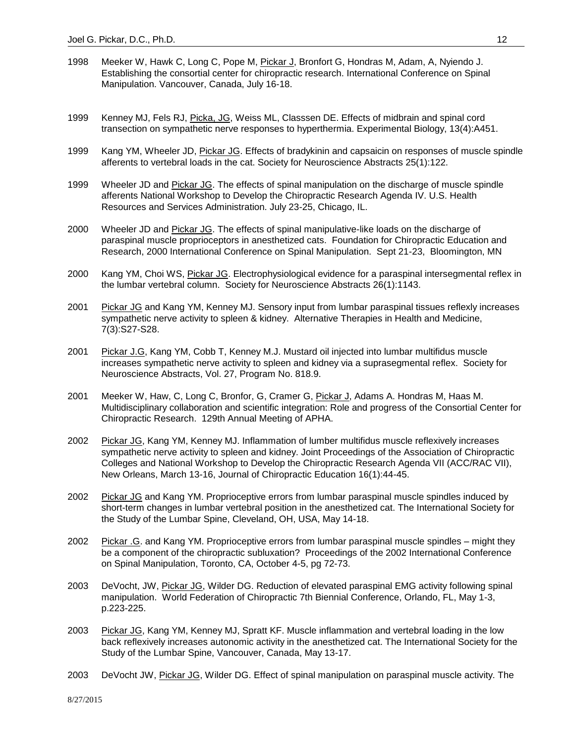- 1998 Meeker W, Hawk C, Long C, Pope M, **Pickar J, Bronfort G, Hondras M, Adam, A**, Nyiendo J. Establishing the consortial center for chiropractic research. International Conference on Spinal Manipulation. Vancouver, Canada, July 16-18.
- 1999 Kenney MJ, Fels RJ, Picka, JG, Weiss ML, Classsen DE. Effects of midbrain and spinal cord transection on sympathetic nerve responses to hyperthermia. Experimental Biology, 13(4):A451.
- 1999 Kang YM, Wheeler JD, Pickar JG. Effects of bradykinin and capsaicin on responses of muscle spindle afferents to vertebral loads in the cat. Society for Neuroscience Abstracts 25(1):122.
- 1999 Wheeler JD and Pickar JG. The effects of spinal manipulation on the discharge of muscle spindle afferents National Workshop to Develop the Chiropractic Research Agenda IV. U.S. Health Resources and Services Administration. July 23-25, Chicago, IL.
- 2000 Wheeler JD and Pickar JG. The effects of spinal manipulative-like loads on the discharge of paraspinal muscle proprioceptors in anesthetized cats. Foundation for Chiropractic Education and Research, 2000 International Conference on Spinal Manipulation. Sept 21-23, Bloomington, MN
- 2000 Kang YM, Choi WS, Pickar JG. Electrophysiological evidence for a paraspinal intersegmental reflex in the lumbar vertebral column. Society for Neuroscience Abstracts 26(1):1143.
- 2001 Pickar JG and Kang YM, Kenney MJ. Sensory input from lumbar paraspinal tissues reflexly increases sympathetic nerve activity to spleen & kidney. Alternative Therapies in Health and Medicine, 7(3):S27-S28.
- 2001 Pickar J.G, Kang YM, Cobb T, Kenney M.J. Mustard oil injected into lumbar multifidus muscle increases sympathetic nerve activity to spleen and kidney via a suprasegmental reflex. Society for Neuroscience Abstracts, Vol. 27, Program No. 818.9.
- 2001 Meeker W, Haw, C, Long C, Bronfor, G, Cramer G, Pickar J, Adams A. Hondras M, Haas M. Multidisciplinary collaboration and scientific integration: Role and progress of the Consortial Center for Chiropractic Research. 129th Annual Meeting of APHA.
- 2002 Pickar JG, Kang YM, Kenney MJ. Inflammation of lumber multifidus muscle reflexively increases sympathetic nerve activity to spleen and kidney. Joint Proceedings of the Association of Chiropractic Colleges and National Workshop to Develop the Chiropractic Research Agenda VII (ACC/RAC VII), New Orleans, March 13-16, Journal of Chiropractic Education 16(1):44-45.
- 2002 Pickar JG and Kang YM. Proprioceptive errors from lumbar paraspinal muscle spindles induced by short-term changes in lumbar vertebral position in the anesthetized cat. The International Society for the Study of the Lumbar Spine, Cleveland, OH, USA, May 14-18.
- 2002 Pickar .G. and Kang YM. Proprioceptive errors from lumbar paraspinal muscle spindles might they be a component of the chiropractic subluxation? Proceedings of the 2002 International Conference on Spinal Manipulation, Toronto, CA, October 4-5, pg 72-73.
- 2003 DeVocht, JW, Pickar JG, Wilder DG. Reduction of elevated paraspinal EMG activity following spinal manipulation. World Federation of Chiropractic 7th Biennial Conference, Orlando, FL, May 1-3, p.223-225.
- 2003 Pickar JG, Kang YM, Kenney MJ, Spratt KF. Muscle inflammation and vertebral loading in the low back reflexively increases autonomic activity in the anesthetized cat. The International Society for the Study of the Lumbar Spine, Vancouver, Canada, May 13-17.
- 2003 DeVocht JW, Pickar JG, Wilder DG. Effect of spinal manipulation on paraspinal muscle activity. The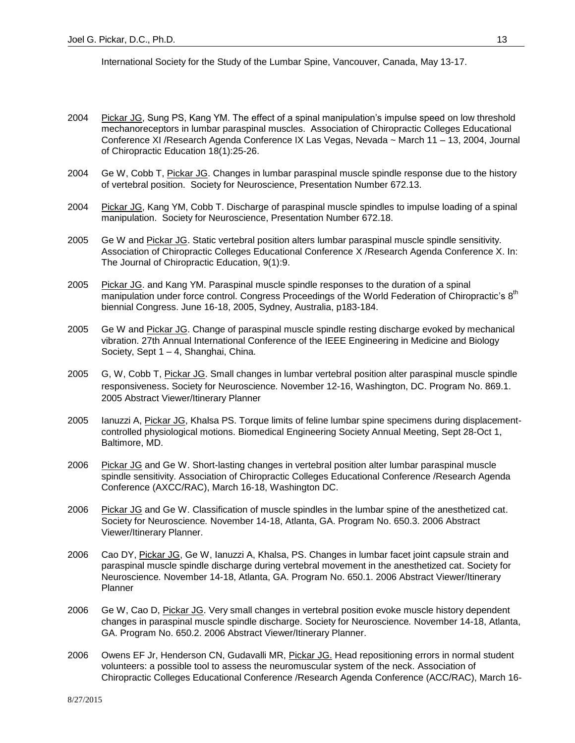International Society for the Study of the Lumbar Spine, Vancouver, Canada, May 13-17.

- 2004 Pickar JG, Sung PS, Kang YM. The effect of a spinal manipulation's impulse speed on low threshold mechanoreceptors in lumbar paraspinal muscles. Association of Chiropractic Colleges Educational Conference XI /Research Agenda Conference IX Las Vegas, Nevada ~ March 11 – 13, 2004, Journal of Chiropractic Education 18(1):25-26.
- 2004 Ge W, Cobb T, Pickar JG. Changes in lumbar paraspinal muscle spindle response due to the history of vertebral position. Society for Neuroscience, Presentation Number 672.13.
- 2004 Pickar JG, Kang YM, Cobb T. Discharge of paraspinal muscle spindles to impulse loading of a spinal manipulation. Society for Neuroscience, Presentation Number 672.18.
- 2005 Ge W and Pickar JG. Static vertebral position alters lumbar paraspinal muscle spindle sensitivity. Association of Chiropractic Colleges Educational Conference X /Research Agenda Conference X. In: The Journal of Chiropractic Education, 9(1):9.
- 2005 Pickar JG. and Kang YM. Paraspinal muscle spindle responses to the duration of a spinal manipulation under force control. Congress Proceedings of the World Federation of Chiropractic's  $8<sup>th</sup>$ biennial Congress. June 16-18, 2005, Sydney, Australia, p183-184.
- 2005 Ge W and Pickar JG. Change of paraspinal muscle spindle resting discharge evoked by mechanical vibration. 27th Annual International Conference of the IEEE Engineering in Medicine and Biology Society, Sept 1 – 4, Shanghai, China.
- 2005 G, W, Cobb T, Pickar JG. Small changes in lumbar vertebral position alter paraspinal muscle spindle responsiveness. Society for Neuroscience*.* November 12-16, Washington, DC. Program No. 869.1. 2005 Abstract Viewer/Itinerary Planner
- 2005 Ianuzzi A, Pickar JG, Khalsa PS. Torque limits of feline lumbar spine specimens during displacementcontrolled physiological motions. Biomedical Engineering Society Annual Meeting, Sept 28-Oct 1, Baltimore, MD.
- 2006 Pickar JG and Ge W. Short-lasting changes in vertebral position alter lumbar paraspinal muscle spindle sensitivity. Association of Chiropractic Colleges Educational Conference /Research Agenda Conference (AXCC/RAC), March 16-18, Washington DC.
- 2006 Pickar JG and Ge W. Classification of muscle spindles in the lumbar spine of the anesthetized cat. Society for Neuroscience*.* November 14-18, Atlanta, GA. Program No. 650.3. 2006 Abstract Viewer/Itinerary Planner.
- 2006 Cao DY, Pickar JG, Ge W, Ianuzzi A, Khalsa, PS. Changes in lumbar facet joint capsule strain and paraspinal muscle spindle discharge during vertebral movement in the anesthetized cat. Society for Neuroscience*.* November 14-18, Atlanta, GA. Program No. 650.1. 2006 Abstract Viewer/Itinerary Planner
- 2006 Ge W, Cao D, Pickar JG. Very small changes in vertebral position evoke muscle history dependent changes in paraspinal muscle spindle discharge. Society for Neuroscience*.* November 14-18, Atlanta, GA. Program No. 650.2. 2006 Abstract Viewer/Itinerary Planner.
- 2006 Owens EF Jr, Henderson CN, Gudavalli MR, Pickar JG. Head repositioning errors in normal student volunteers: a possible tool to assess the neuromuscular system of the neck. Association of Chiropractic Colleges Educational Conference /Research Agenda Conference (ACC/RAC), March 16-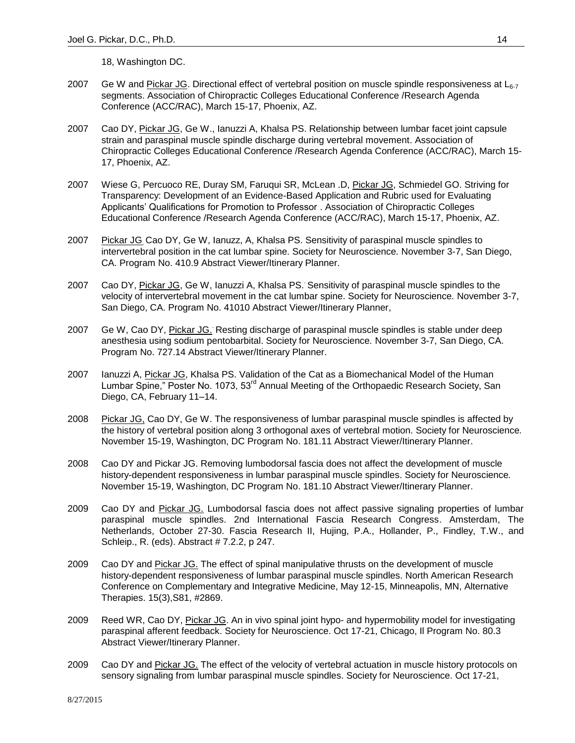18, Washington DC.

- 2007 Ge W and Pickar JG. Directional effect of vertebral position on muscle spindle responsiveness at  $L_{6-7}$ segments. Association of Chiropractic Colleges Educational Conference /Research Agenda Conference (ACC/RAC), March 15-17, Phoenix, AZ.
- 2007 Cao DY, Pickar JG, Ge W., Ianuzzi A, Khalsa PS. Relationship between lumbar facet joint capsule strain and paraspinal muscle spindle discharge during vertebral movement. Association of Chiropractic Colleges Educational Conference /Research Agenda Conference (ACC/RAC), March 15- 17, Phoenix, AZ.
- 2007 Wiese G, Percuoco RE, Duray SM, Faruqui SR, McLean .D, Pickar JG, Schmiedel GO. Striving for Transparency: Development of an Evidence-Based Application and Rubric used for Evaluating Applicants' Qualifications for Promotion to Professor . Association of Chiropractic Colleges Educational Conference /Research Agenda Conference (ACC/RAC), March 15-17, Phoenix, AZ.
- 2007 Pickar JG, Cao DY, Ge W, Ianuzz, A, Khalsa PS. Sensitivity of paraspinal muscle spindles to intervertebral position in the cat lumbar spine. Society for Neuroscience*.* November 3-7, San Diego, CA. Program No. 410.9 Abstract Viewer/Itinerary Planner.
- 2007 Cao DY, *Pickar JG*, Ge W, lanuzzi A, Khalsa PS. Sensitivity of paraspinal muscle spindles to the velocity of intervertebral movement in the cat lumbar spine. Society for Neuroscience*.* November 3-7, San Diego, CA. Program No. 41010 Abstract Viewer/Itinerary Planner,
- 2007 Ge W, Cao DY, Pickar JG. Resting discharge of paraspinal muscle spindles is stable under deep anesthesia using sodium pentobarbital. Society for Neuroscience*.* November 3-7, San Diego, CA. Program No. 727.14 Abstract Viewer/Itinerary Planner.
- 2007 Ianuzzi A, Pickar JG, Khalsa PS. Validation of the Cat as a Biomechanical Model of the Human Lumbar Spine," Poster No. 1073, 53<sup>rd</sup> Annual Meeting of the Orthopaedic Research Society, San Diego, CA, February 11–14.
- 2008 Pickar JG, Cao DY, Ge W. The responsiveness of lumbar paraspinal muscle spindles is affected by the history of vertebral position along 3 orthogonal axes of vertebral motion. Society for Neuroscience*.* November 15-19, Washington, DC Program No. 181.11 Abstract Viewer/Itinerary Planner.
- 2008 Cao DY and Pickar JG. Removing lumbodorsal fascia does not affect the development of muscle history-dependent responsiveness in lumbar paraspinal muscle spindles. Society for Neuroscience*.* November 15-19, Washington, DC Program No. 181.10 Abstract Viewer/Itinerary Planner.
- 2009 Cao DY and Pickar JG. Lumbodorsal fascia does not affect passive signaling properties of lumbar paraspinal muscle spindles. 2nd International Fascia Research Congress. Amsterdam, The Netherlands, October 27-30. Fascia Research II, Hujing, P.A., Hollander, P., Findley, T.W., and Schleip., R. (eds). Abstract # 7.2.2, p 247.
- 2009 Cao DY and Pickar JG. The effect of spinal manipulative thrusts on the development of muscle history-dependent responsiveness of lumbar paraspinal muscle spindles. North American Research Conference on Complementary and Integrative Medicine, May 12-15, Minneapolis, MN, Alternative Therapies. 15(3),S81, #2869.
- 2009 Reed WR, Cao DY, Pickar JG. An in vivo spinal joint hypo- and hypermobility model for investigating paraspinal afferent feedback. Society for Neuroscience. Oct 17-21, Chicago, Il Program No. 80.3 Abstract Viewer/Itinerary Planner.
- 2009 Cao DY and Pickar JG. The effect of the velocity of vertebral actuation in muscle history protocols on sensory signaling from lumbar paraspinal muscle spindles. Society for Neuroscience. Oct 17-21,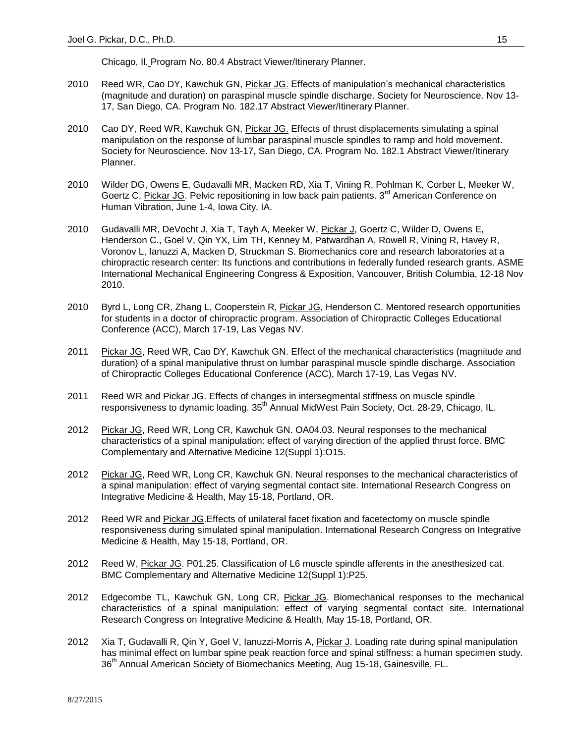Chicago, Il. Program No. 80.4 Abstract Viewer/Itinerary Planner.

- 2010 Reed WR, Cao DY, Kawchuk GN, Pickar JG. Effects of manipulation's mechanical characteristics (magnitude and duration) on paraspinal muscle spindle discharge. Society for Neuroscience. Nov 13- 17, San Diego, CA. Program No. 182.17 Abstract Viewer/Itinerary Planner.
- 2010 Cao DY, Reed WR, Kawchuk GN, Pickar JG. Effects of thrust displacements simulating a spinal manipulation on the response of lumbar paraspinal muscle spindles to ramp and hold movement. Society for Neuroscience. Nov 13-17, San Diego, CA. Program No. 182.1 Abstract Viewer/Itinerary Planner.
- 2010 Wilder DG, Owens E, Gudavalli MR, Macken RD, Xia T, Vining R, Pohlman K, Corber L, Meeker W, Goertz C, Pickar JG. Pelvic repositioning in low back pain patients. 3<sup>rd</sup> American Conference on Human Vibration, June 1-4, Iowa City, IA.
- 2010 Gudavalli MR, DeVocht J, Xia T, Tayh A, Meeker W, Pickar J, Goertz C, Wilder D, Owens E, Henderson C., Goel V, Qin YX, Lim TH, Kenney M, Patwardhan A, Rowell R, Vining R, Havey R, Voronov L, Ianuzzi A, Macken D, Struckman S. Biomechanics core and research laboratories at a chiropractic research center: Its functions and contributions in federally funded research grants. ASME International Mechanical Engineering Congress & Exposition, Vancouver, British Columbia, 12-18 Nov 2010.
- 2010 Byrd L, Long CR, Zhang L, Cooperstein R, Pickar JG, Henderson C. Mentored research opportunities for students in a doctor of chiropractic program. Association of Chiropractic Colleges Educational Conference (ACC), March 17-19, Las Vegas NV.
- 2011 Pickar JG, Reed WR, Cao DY, Kawchuk GN. Effect of the mechanical characteristics (magnitude and duration) of a spinal manipulative thrust on lumbar paraspinal muscle spindle discharge. Association of Chiropractic Colleges Educational Conference (ACC), March 17-19, Las Vegas NV.
- 2011 Reed WR and Pickar JG. Effects of changes in intersegmental stiffness on muscle spindle responsiveness to dynamic loading.  $35<sup>th</sup>$  Annual MidWest Pain Society, Oct. 28-29, Chicago, IL.
- 2012 Pickar JG, Reed WR, Long CR, Kawchuk GN. OA04.03. Neural responses to the mechanical characteristics of a spinal manipulation: effect of varying direction of the applied thrust force. BMC Complementary and Alternative Medicine 12(Suppl 1):O15.
- 2012 Pickar JG, Reed WR, Long CR, Kawchuk GN. Neural responses to the mechanical characteristics of a spinal manipulation: effect of varying segmental contact site. International Research Congress on Integrative Medicine & Health, May 15-18, Portland, OR.
- 2012 Reed WR and Pickar JG.Effects of unilateral facet fixation and facetectomy on muscle spindle responsiveness during simulated spinal manipulation. International Research Congress on Integrative Medicine & Health, May 15-18, Portland, OR.
- 2012 Reed W, Pickar JG. P01.25. Classification of L6 muscle spindle afferents in the anesthesized cat. BMC Complementary and Alternative Medicine 12(Suppl 1):P25.
- 2012 Edgecombe TL, Kawchuk GN, Long CR, Pickar JG. Biomechanical responses to the mechanical characteristics of a spinal manipulation: effect of varying segmental contact site. International Research Congress on Integrative Medicine & Health, May 15-18, Portland, OR.
- 2012 Xia T, Gudavalli R, Qin Y, Goel V, Ianuzzi-Morris A, Pickar J. Loading rate during spinal manipulation has minimal effect on lumbar spine peak reaction force and spinal stiffness: a human specimen study. 36<sup>th</sup> Annual American Society of Biomechanics Meeting, Aug 15-18, Gainesville, FL.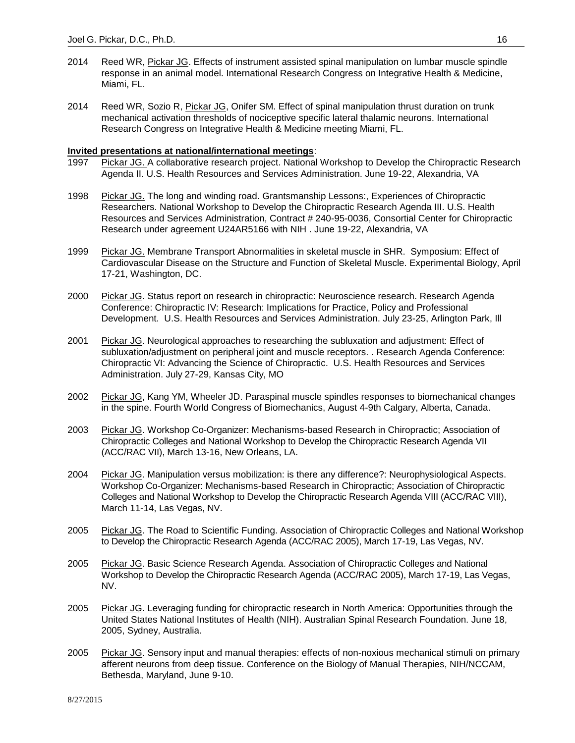- 2014 Reed WR, Pickar JG. Effects of instrument assisted spinal manipulation on lumbar muscle spindle response in an animal model. International Research Congress on Integrative Health & Medicine, Miami, FL.
- 2014 Reed WR, Sozio R, Pickar JG, Onifer SM. Effect of spinal manipulation thrust duration on trunk mechanical activation thresholds of nociceptive specific lateral thalamic neurons. International Research Congress on Integrative Health & Medicine meeting Miami, FL.

# **Invited presentations at national/international meetings**:

- 1997 Pickar JG. A collaborative research project. National Workshop to Develop the Chiropractic Research Agenda II. U.S. Health Resources and Services Administration. June 19-22, Alexandria, VA
- 1998 Pickar JG. The long and winding road. Grantsmanship Lessons:, Experiences of Chiropractic Researchers. National Workshop to Develop the Chiropractic Research Agenda III. U.S. Health Resources and Services Administration, Contract # 240-95-0036, Consortial Center for Chiropractic Research under agreement U24AR5166 with NIH . June 19-22, Alexandria, VA
- 1999 Pickar JG. Membrane Transport Abnormalities in skeletal muscle in SHR. Symposium: Effect of Cardiovascular Disease on the Structure and Function of Skeletal Muscle. Experimental Biology, April 17-21, Washington, DC.
- 2000 Pickar JG. Status report on research in chiropractic: Neuroscience research. Research Agenda Conference: Chiropractic IV: Research: Implications for Practice, Policy and Professional Development. U.S. Health Resources and Services Administration. July 23-25, Arlington Park, Ill
- 2001 Pickar JG. Neurological approaches to researching the subluxation and adjustment: Effect of subluxation/adjustment on peripheral joint and muscle receptors. . Research Agenda Conference: Chiropractic VI: Advancing the Science of Chiropractic. U.S. Health Resources and Services Administration. July 27-29, Kansas City, MO
- 2002 Pickar JG, Kang YM, Wheeler JD. Paraspinal muscle spindles responses to biomechanical changes in the spine. Fourth World Congress of Biomechanics, August 4-9th Calgary, Alberta, Canada.
- 2003 Pickar JG. Workshop Co-Organizer: Mechanisms-based Research in Chiropractic; Association of Chiropractic Colleges and National Workshop to Develop the Chiropractic Research Agenda VII (ACC/RAC VII), March 13-16, New Orleans, LA.
- 2004 Pickar JG. Manipulation versus mobilization: is there any difference?: Neurophysiological Aspects. Workshop Co-Organizer: Mechanisms-based Research in Chiropractic; Association of Chiropractic Colleges and National Workshop to Develop the Chiropractic Research Agenda VIII (ACC/RAC VIII), March 11-14, Las Vegas, NV.
- 2005 Pickar JG. The Road to Scientific Funding. Association of Chiropractic Colleges and National Workshop to Develop the Chiropractic Research Agenda (ACC/RAC 2005), March 17-19, Las Vegas, NV.
- 2005 Pickar JG. Basic Science Research Agenda. Association of Chiropractic Colleges and National Workshop to Develop the Chiropractic Research Agenda (ACC/RAC 2005), March 17-19, Las Vegas, NV.
- 2005 Pickar JG. Leveraging funding for chiropractic research in North America: Opportunities through the United States National Institutes of Health (NIH). Australian Spinal Research Foundation. June 18, 2005, Sydney, Australia.
- 2005 Pickar JG. Sensory input and manual therapies: effects of non-noxious mechanical stimuli on primary afferent neurons from deep tissue. Conference on the Biology of Manual Therapies, NIH/NCCAM, Bethesda, Maryland, June 9-10.